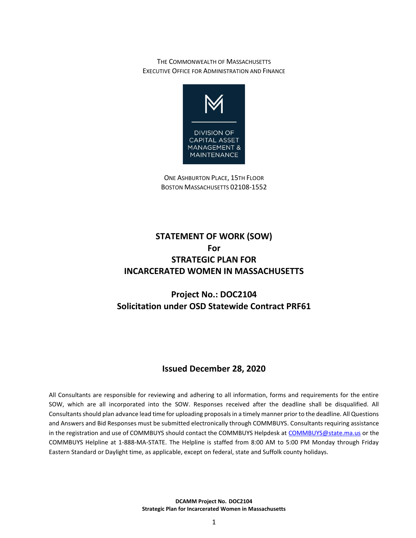THE COMMONWEALTH OF MASSACHUSETTS EXECUTIVE OFFICE FOR ADMINISTRATION AND FINANCE



ONE ASHBURTON PLACE, 15TH FLOOR BOSTON MASSACHUSETTS 02108-1552

# **STATEMENT OF WORK (SOW) For STRATEGIC PLAN FOR INCARCERATED WOMEN IN MASSACHUSETTS**

# **Project No.: DOC2104 Solicitation under OSD Statewide Contract PRF61**

# **Issued December 28, 2020**

All Consultants are responsible for reviewing and adhering to all information, forms and requirements for the entire SOW, which are all incorporated into the SOW. Responses received after the deadline shall be disqualified. All Consultants should plan advance lead time for uploading proposals in a timely manner prior to the deadline. All Questions and Answers and Bid Responses must be submitted electronically through COMMBUYS. Consultants requiring assistance in the registration and use of COMMBUYS should contact the COMMBUYS Helpdesk a[t COMMBUYS@state.ma.us](mailto:COMMBUYS@state.ma.us) or the COMMBUYS Helpline at 1-888-MA-STATE. The Helpline is staffed from 8:00 AM to 5:00 PM Monday through Friday Eastern Standard or Daylight time, as applicable, except on federal, state and Suffolk county holidays.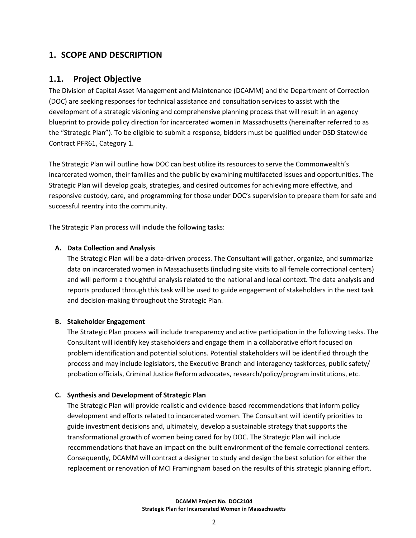# **1. SCOPE AND DESCRIPTION**

## **1.1. Project Objective**

The Division of Capital Asset Management and Maintenance (DCAMM) and the Department of Correction (DOC) are seeking responses for technical assistance and consultation services to assist with the development of a strategic visioning and comprehensive planning process that will result in an agency blueprint to provide policy direction for incarcerated women in Massachusetts (hereinafter referred to as the "Strategic Plan"). To be eligible to submit a response, bidders must be qualified under OSD Statewide Contract PFR61, Category 1.

The Strategic Plan will outline how DOC can best utilize its resources to serve the Commonwealth's incarcerated women, their families and the public by examining multifaceted issues and opportunities. The Strategic Plan will develop goals, strategies, and desired outcomes for achieving more effective, and responsive custody, care, and programming for those under DOC's supervision to prepare them for safe and successful reentry into the community.

The Strategic Plan process will include the following tasks:

#### **A. Data Collection and Analysis**

The Strategic Plan will be a data-driven process. The Consultant will gather, organize, and summarize data on incarcerated women in Massachusetts (including site visits to all female correctional centers) and will perform a thoughtful analysis related to the national and local context. The data analysis and reports produced through this task will be used to guide engagement of stakeholders in the next task and decision-making throughout the Strategic Plan.

#### **B. Stakeholder Engagement**

The Strategic Plan process will include transparency and active participation in the following tasks. The Consultant will identify key stakeholders and engage them in a collaborative effort focused on problem identification and potential solutions. Potential stakeholders will be identified through the process and may include legislators, the Executive Branch and interagency taskforces, public safety/ probation officials, Criminal Justice Reform advocates, research/policy/program institutions, etc.

#### **C. Synthesis and Development of Strategic Plan**

The Strategic Plan will provide realistic and evidence-based recommendations that inform policy development and efforts related to incarcerated women. The Consultant will identify priorities to guide investment decisions and, ultimately, develop a sustainable strategy that supports the transformational growth of women being cared for by DOC. The Strategic Plan will include recommendations that have an impact on the built environment of the female correctional centers. Consequently, DCAMM will contract a designer to study and design the best solution for either the replacement or renovation of MCI Framingham based on the results of this strategic planning effort.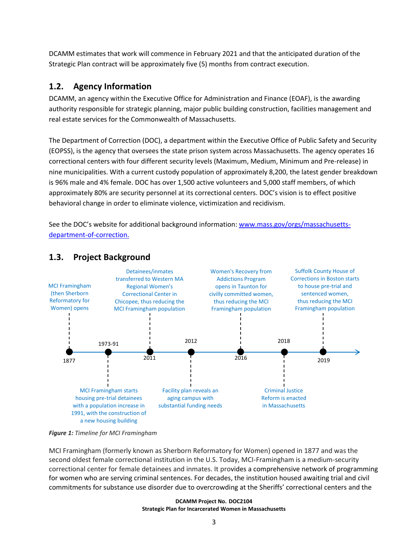DCAMM estimates that work will commence in February 2021 and that the anticipated duration of the Strategic Plan contract will be approximately five (5) months from contract execution.

# **1.2. Agency Information**

DCAMM, an agency within the Executive Office for Administration and Finance (EOAF), is the awarding authority responsible for strategic planning, major public building construction, facilities management and real estate services for the Commonwealth of Massachusetts.

The Department of Correction (DOC), a department within the Executive Office of Public Safety and Security (EOPSS), is the agency that oversees the state prison system across Massachusetts. The agency operates 16 correctional centers with four different security levels (Maximum, Medium, Minimum and Pre-release) in nine municipalities. With a current custody population of approximately 8,200, the latest gender breakdown is 96% male and 4% female. DOC has over 1,500 active volunteers and 5,000 staff members, of which approximately 80% are security personnel at its correctional centers. DOC's vision is to effect positive behavioral change in order to eliminate violence, victimization and recidivism.

See the DOC's website for additional background information: [www.mass.gov/orgs/massachusetts](http://www.mass.gov/orgs/massachusetts-department-of-correction)[department-of-correction.](http://www.mass.gov/orgs/massachusetts-department-of-correction)



# **1.3. Project Background**

*Figure 1: Timeline for MCI Framingham*

MCI Framingham (formerly known as Sherborn Reformatory for Women) opened in 1877 and was the second oldest female correctional institution in the U.S. Today, MCI-Framingham is a medium-security correctional center for female detainees and inmates. It provides a comprehensive network of programming for women who are serving criminal sentences. For decades, the institution housed awaiting trial and civil commitments for substance use disorder due to overcrowding at the Sheriffs' correctional centers and the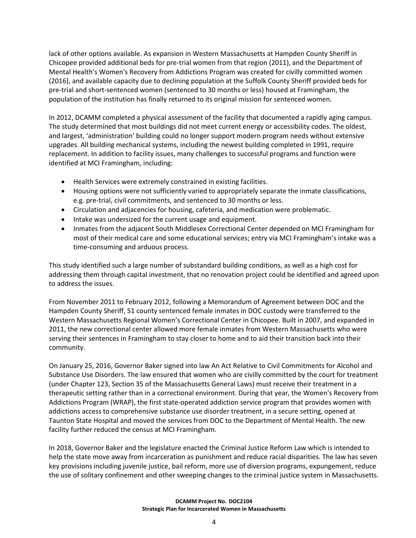lack of other options available. As expansion in Western Massachusetts at Hampden County Sheriff in Chicopee provided additional beds for pre-trial women from that region (2011), and the Department of Mental Health's Women's Recovery from Addictions Program was created for civilly committed women (2016), and available capacity due to declining population at the Suffolk County Sheriff provided beds for pre-trial and short-sentenced women (sentenced to 30 months or less) housed at Framingham, the population of the institution has finally returned to its original mission for sentenced women.

In 2012, DCAMM completed a physical assessment of the facility that documented a rapidly aging campus. The study determined that most buildings did not meet current energy or accessibility codes. The oldest, and largest, 'administration' building could no longer support modern program needs without extensive upgrades. All building mechanical systems, including the newest building completed in 1991, require replacement. In addition to facility issues, many challenges to successful programs and function were identified at MCI Framingham, including:

- Health Services were extremely constrained in existing facilities.
- Housing options were not sufficiently varied to appropriately separate the inmate classifications, e.g. pre-trial, civil commitments, and sentenced to 30 months or less.
- Circulation and adjacencies for housing, cafeteria, and medication were problematic.
- Intake was undersized for the current usage and equipment.
- Inmates from the adjacent South Middlesex Correctional Center depended on MCI Framingham for most of their medical care and some educational services; entry via MCI Framingham's intake was a time-consuming and arduous process.

This study identified such a large number of substandard building conditions, as well as a high cost for addressing them through capital investment, that no renovation project could be identified and agreed upon to address the issues.

From November 2011 to February 2012, following a Memorandum of Agreement between DOC and the Hampden County Sheriff, 51 county sentenced female inmates in DOC custody were transferred to the Western Massachusetts Regional Women's Correctional Center in Chicopee. Built in 2007, and expanded in 2011, the new correctional center allowed more female inmates from Western Massachusetts who were serving their sentences in Framingham to stay closer to home and to aid their transition back into their community.

On January 25, 2016, Governor Baker signed into law An Act Relative to Civil Commitments for Alcohol and Substance Use Disorders. The law ensured that women who are civilly committed by the court for treatment (under Chapter 123, Section 35 of the Massachusetts General Laws) must receive their treatment in a therapeutic setting rather than in a correctional environment. During that year, the Women's Recovery from Addictions Program (WRAP), the first state-operated addiction service program that provides women with addictions access to comprehensive substance use disorder treatment, in a secure setting, opened at Taunton State Hospital and moved the services from DOC to the Department of Mental Health. The new facility further reduced the census at MCI Framingham.

In 2018, Governor Baker and the legislature enacted the Criminal Justice Reform Law which is intended to help the state move away from incarceration as punishment and reduce racial disparities. The law has seven key provisions including juvenile justice, bail reform, more use of diversion programs, expungement, reduce the use of solitary confinement and other sweeping changes to the criminal justice system in Massachusetts.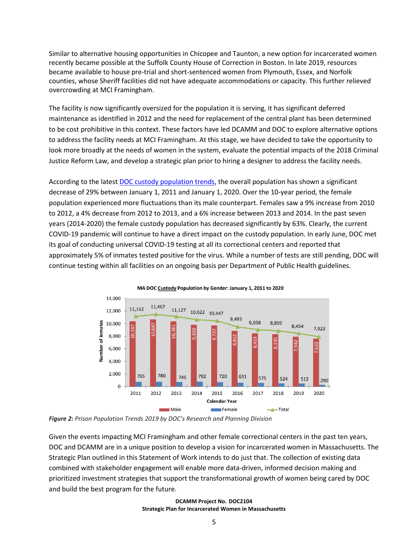Similar to alternative housing opportunities in Chicopee and Taunton, a new option for incarcerated women recently became possible at the Suffolk County House of Correction in Boston. In late 2019, resources became available to house pre-trial and short-sentenced women from Plymouth, Essex, and Norfolk counties, whose Sheriff facilities did not have adequate accommodations or capacity. This further relieved overcrowding at MCI Framingham.

The facility is now significantly oversized for the population it is serving, it has significant deferred maintenance as identified in 2012 and the need for replacement of the central plant has been determined to be cost prohibitive in this context. These factors have led DCAMM and DOC to explore alternative options to address the facility needs at MCI Framingham. At this stage, we have decided to take the opportunity to look more broadly at the needs of women in the system, evaluate the potential impacts of the 2018 Criminal Justice Reform Law, and develop a strategic plan prior to hiring a designer to address the facility needs.

According to the latest **DOC custody population trends**, the overall population has shown a significant decrease of 29% between January 1, 2011 and January 1, 2020. Over the 10-year period, the female population experienced more fluctuations than its male counterpart. Females saw a 9% increase from 2010 to 2012, a 4% decrease from 2012 to 2013, and a 6% increase between 2013 and 2014. In the past seven years (2014-2020) the female custody population has decreased significantly by 63%. Clearly, the current COVID-19 pandemic will continue to have a direct impact on the custody population. In early June, DOC met its goal of conducting universal [COVID-19](https://whdh.com/?s=coronavirus) testing at all its correctional centers and reported that approximately 5% of inmates tested positive for the virus. While a number of tests are still pending, DOC will continue testing within all facilities on an ongoing basis per Department of Public Health guidelines.



MA DOC Custody Population by Gender: January 1, 2011 to 2020

*Figure 2: Prison Population Trends 2019 by DOC's Research and Planning Division*

Given the events impacting MCI Framingham and other female correctional centers in the past ten years, DOC and DCAMM are in a unique position to develop a vision for incarcerated women in Massachusetts. The Strategic Plan outlined in this Statement of Work intends to do just that. The collection of existing data combined with stakeholder engagement will enable more data-driven, informed decision making and prioritized investment strategies that support the transformational growth of women being cared by DOC and build the best program for the future.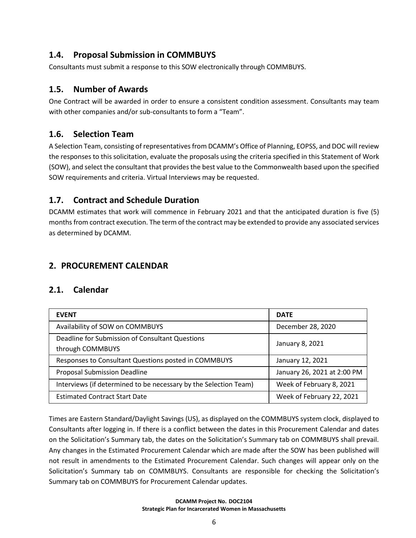# **1.4. Proposal Submission in COMMBUYS**

Consultants must submit a response to this SOW electronically through COMMBUYS.

## **1.5. Number of Awards**

One Contract will be awarded in order to ensure a consistent condition assessment. Consultants may team with other companies and/or sub-consultants to form a "Team".

# **1.6. Selection Team**

A Selection Team, consisting of representatives from DCAMM's Office of Planning, EOPSS, and DOC will review the responses to this solicitation, evaluate the proposals using the criteria specified in this Statement of Work (SOW), and select the consultant that provides the best value to the Commonwealth based upon the specified SOW requirements and criteria. Virtual Interviews may be requested.

## **1.7. Contract and Schedule Duration**

DCAMM estimates that work will commence in February 2021 and that the anticipated duration is five (5) months from contract execution. The term of the contract may be extended to provide any associated services as determined by DCAMM.

# **2. PROCUREMENT CALENDAR**

## **2.1. Calendar**

| <b>EVENT</b>                                                     | <b>DATE</b>                         |  |
|------------------------------------------------------------------|-------------------------------------|--|
| Availability of SOW on COMMBUYS                                  | December 28, 2020                   |  |
| Deadline for Submission of Consultant Questions                  | January 8, 2021<br>January 12, 2021 |  |
| through COMMBUYS                                                 |                                     |  |
| Responses to Consultant Questions posted in COMMBUYS             |                                     |  |
| <b>Proposal Submission Deadline</b>                              | January 26, 2021 at 2:00 PM         |  |
| Interviews (if determined to be necessary by the Selection Team) | Week of February 8, 2021            |  |
| <b>Estimated Contract Start Date</b>                             | Week of February 22, 2021           |  |

Times are Eastern Standard/Daylight Savings (US), as displayed on the COMMBUYS system clock, displayed to Consultants after logging in. If there is a conflict between the dates in this Procurement Calendar and dates on the Solicitation's Summary tab, the dates on the Solicitation's Summary tab on COMMBUYS shall prevail. Any changes in the Estimated Procurement Calendar which are made after the SOW has been published will not result in amendments to the Estimated Procurement Calendar. Such changes will appear only on the Solicitation's Summary tab on COMMBUYS. Consultants are responsible for checking the Solicitation's Summary tab on COMMBUYS for Procurement Calendar updates.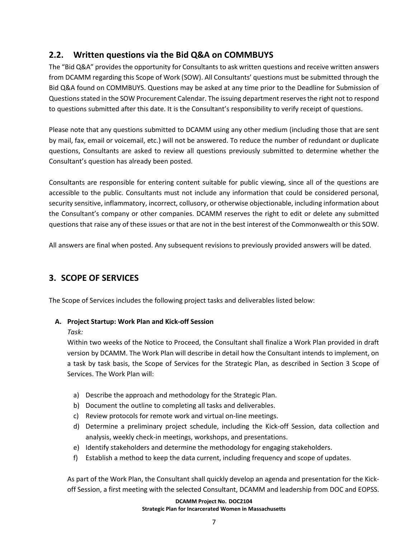# **2.2. Written questions via the Bid Q&A on COMMBUYS**

The "Bid Q&A" provides the opportunity for Consultants to ask written questions and receive written answers from DCAMM regarding this Scope of Work (SOW). All Consultants' questions must be submitted through the Bid Q&A found on COMMBUYS. Questions may be asked at any time prior to the Deadline for Submission of Questions stated in the SOW Procurement Calendar. The issuing department reserves the right not to respond to questions submitted after this date. It is the Consultant's responsibility to verify receipt of questions.

Please note that any questions submitted to DCAMM using any other medium (including those that are sent by mail, fax, email or voicemail, etc.) will not be answered. To reduce the number of redundant or duplicate questions, Consultants are asked to review all questions previously submitted to determine whether the Consultant's question has already been posted.

Consultants are responsible for entering content suitable for public viewing, since all of the questions are accessible to the public. Consultants must not include any information that could be considered personal, security sensitive, inflammatory, incorrect, collusory, or otherwise objectionable, including information about the Consultant's company or other companies. DCAMM reserves the right to edit or delete any submitted questions that raise any of these issues or that are not in the best interest of the Commonwealth or this SOW.

All answers are final when posted. Any subsequent revisions to previously provided answers will be dated.

# **3. SCOPE OF SERVICES**

The Scope of Services includes the following project tasks and deliverables listed below:

## **A. Project Startup: Work Plan and Kick-off Session**

## *Task:*

Within two weeks of the Notice to Proceed, the Consultant shall finalize a Work Plan provided in draft version by DCAMM. The Work Plan will describe in detail how the Consultant intends to implement, on a task by task basis, the Scope of Services for the Strategic Plan, as described in Section 3 Scope of Services. The Work Plan will:

- a) Describe the approach and methodology for the Strategic Plan.
- b) Document the outline to completing all tasks and deliverables.
- c) Review protocols for remote work and virtual on-line meetings.
- d) Determine a preliminary project schedule, including the Kick-off Session, data collection and analysis, weekly check-in meetings, workshops, and presentations.
- e) Identify stakeholders and determine the methodology for engaging stakeholders.
- f) Establish a method to keep the data current, including frequency and scope of updates.

As part of the Work Plan, the Consultant shall quickly develop an agenda and presentation for the Kickoff Session, a first meeting with the selected Consultant, DCAMM and leadership from DOC and EOPSS.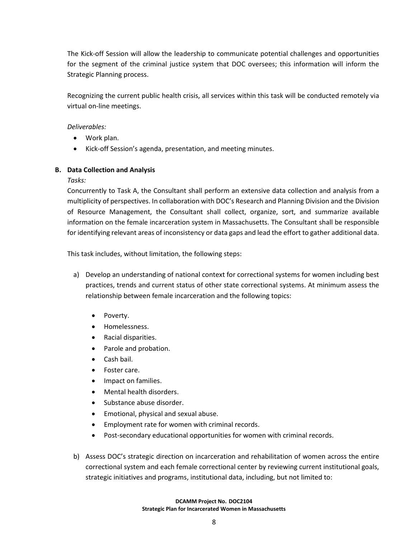The Kick-off Session will allow the leadership to communicate potential challenges and opportunities for the segment of the criminal justice system that DOC oversees; this information will inform the Strategic Planning process.

Recognizing the current public health crisis, all services within this task will be conducted remotely via virtual on-line meetings.

#### *Deliverables:*

- Work plan.
- Kick-off Session's agenda, presentation, and meeting minutes.

## **B. Data Collection and Analysis**

#### *Tasks:*

Concurrently to Task A, the Consultant shall perform an extensive data collection and analysis from a multiplicity of perspectives. In collaboration with DOC's Research and Planning Division and the Division of Resource Management, the Consultant shall collect, organize, sort, and summarize available information on the female incarceration system in Massachusetts. The Consultant shall be responsible for identifying relevant areas of inconsistency or data gaps and lead the effort to gather additional data.

This task includes, without limitation, the following steps:

- a) Develop an understanding of national context for correctional systems for women including best practices, trends and current status of other state correctional systems. At minimum assess the relationship between female incarceration and the following topics:
	- Poverty.
	- Homelessness.
	- Racial disparities.
	- Parole and probation.
	- Cash bail.
	- Foster care.
	- Impact on families.
	- Mental health disorders.
	- Substance abuse disorder.
	- Emotional, physical and sexual abuse.
	- Employment rate for women with criminal records.
	- Post-secondary educational opportunities for women with criminal records.
- b) Assess DOC's strategic direction on incarceration and rehabilitation of women across the entire correctional system and each female correctional center by reviewing current institutional goals, strategic initiatives and programs, institutional data, including, but not limited to: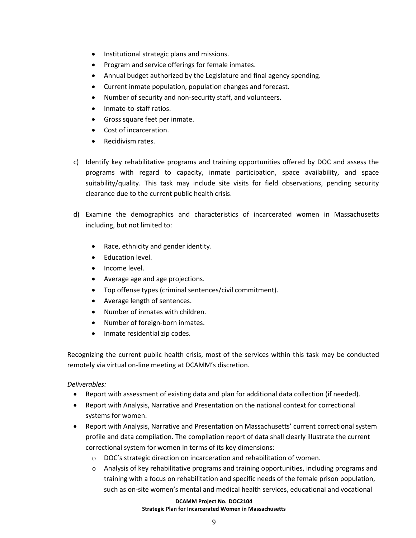- Institutional strategic plans and missions.
- Program and service offerings for female inmates.
- Annual budget authorized by the Legislature and final agency spending.
- Current inmate population, population changes and forecast.
- Number of security and non-security staff, and volunteers.
- Inmate-to-staff ratios.
- Gross square feet per inmate.
- Cost of incarceration.
- Recidivism rates.
- c) Identify key rehabilitative programs and training opportunities offered by DOC and assess the programs with regard to capacity, inmate participation, space availability, and space suitability/quality. This task may include site visits for field observations, pending security clearance due to the current public health crisis.
- d) Examine the demographics and characteristics of incarcerated women in Massachusetts including, but not limited to:
	- Race, ethnicity and gender identity.
	- Education level.
	- Income level.
	- Average age and age projections.
	- Top offense types (criminal sentences/civil commitment).
	- Average length of sentences.
	- Number of inmates with children.
	- Number of foreign-born inmates.
	- Inmate residential zip codes.

Recognizing the current public health crisis, most of the services within this task may be conducted remotely via virtual on-line meeting at DCAMM's discretion.

## *Deliverables:*

- Report with assessment of existing data and plan for additional data collection (if needed).
- Report with Analysis, Narrative and Presentation on the national context for correctional systems for women.
- Report with Analysis, Narrative and Presentation on Massachusetts' current correctional system profile and data compilation. The compilation report of data shall clearly illustrate the current correctional system for women in terms of its key dimensions:
	- o DOC's strategic direction on incarceration and rehabilitation of women.
	- o Analysis of key rehabilitative programs and training opportunities, including programs and training with a focus on rehabilitation and specific needs of the female prison population, such as on-site women's mental and medical health services, educational and vocational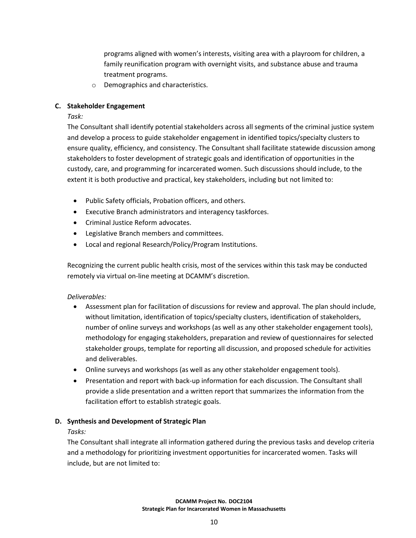programs aligned with women's interests, visiting area with a playroom for children, a family reunification program with overnight visits, and substance abuse and trauma treatment programs.

o Demographics and characteristics.

#### **C. Stakeholder Engagement**

*Task:*

The Consultant shall identify potential stakeholders across all segments of the criminal justice system and develop a process to guide stakeholder engagement in identified topics/specialty clusters to ensure quality, efficiency, and consistency. The Consultant shall facilitate statewide discussion among stakeholders to foster development of strategic goals and identification of opportunities in the custody, care, and programming for incarcerated women. Such discussions should include, to the extent it is both productive and practical, key stakeholders, including but not limited to:

- Public Safety officials, Probation officers, and others.
- Executive Branch administrators and interagency taskforces.
- Criminal Justice Reform advocates.
- Legislative Branch members and committees.
- Local and regional Research/Policy/Program Institutions.

Recognizing the current public health crisis, most of the services within this task may be conducted remotely via virtual on-line meeting at DCAMM's discretion.

## *Deliverables:*

- Assessment plan for facilitation of discussions for review and approval. The plan should include, without limitation, identification of topics/specialty clusters, identification of stakeholders, number of online surveys and workshops (as well as any other stakeholder engagement tools), methodology for engaging stakeholders, preparation and review of questionnaires for selected stakeholder groups, template for reporting all discussion, and proposed schedule for activities and deliverables.
- Online surveys and workshops (as well as any other stakeholder engagement tools).
- Presentation and report with back-up information for each discussion. The Consultant shall provide a slide presentation and a written report that summarizes the information from the facilitation effort to establish strategic goals.

#### **D. Synthesis and Development of Strategic Plan**

*Tasks:*

The Consultant shall integrate all information gathered during the previous tasks and develop criteria and a methodology for prioritizing investment opportunities for incarcerated women. Tasks will include, but are not limited to: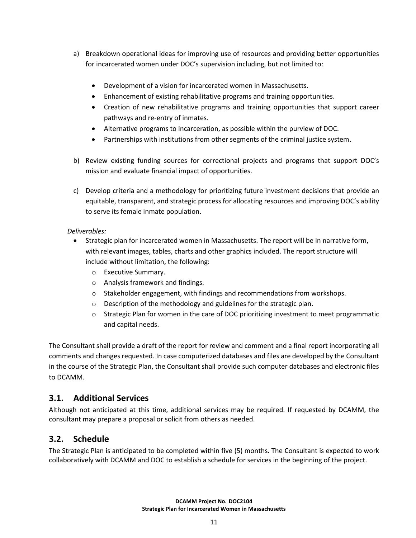- a) Breakdown operational ideas for improving use of resources and providing better opportunities for incarcerated women under DOC's supervision including, but not limited to:
	- Development of a vision for incarcerated women in Massachusetts.
	- Enhancement of existing rehabilitative programs and training opportunities.
	- Creation of new rehabilitative programs and training opportunities that support career pathways and re-entry of inmates.
	- Alternative programs to incarceration, as possible within the purview of DOC.
	- Partnerships with institutions from other segments of the criminal justice system.
- b) Review existing funding sources for correctional projects and programs that support DOC's mission and evaluate financial impact of opportunities.
- c) Develop criteria and a methodology for prioritizing future investment decisions that provide an equitable, transparent, and strategic process for allocating resources and improving DOC's ability to serve its female inmate population.

## *Deliverables:*

- Strategic plan for incarcerated women in Massachusetts. The report will be in narrative form, with relevant images, tables, charts and other graphics included. The report structure will include without limitation, the following:
	- o Executive Summary.
	- o Analysis framework and findings.
	- $\circ$  Stakeholder engagement, with findings and recommendations from workshops.
	- o Description of the methodology and guidelines for the strategic plan.
	- o Strategic Plan for women in the care of DOC prioritizing investment to meet programmatic and capital needs.

The Consultant shall provide a draft of the report for review and comment and a final report incorporating all comments and changes requested. In case computerized databases and files are developed by the Consultant in the course of the Strategic Plan, the Consultant shall provide such computer databases and electronic files to DCAMM.

# **3.1. Additional Services**

Although not anticipated at this time, additional services may be required. If requested by DCAMM, the consultant may prepare a proposal or solicit from others as needed.

# **3.2. Schedule**

The Strategic Plan is anticipated to be completed within five (5) months. The Consultant is expected to work collaboratively with DCAMM and DOC to establish a schedule for services in the beginning of the project.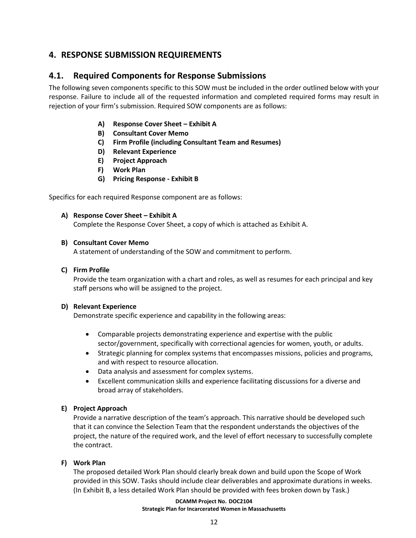# **4. RESPONSE SUBMISSION REQUIREMENTS**

## **4.1. Required Components for Response Submissions**

The following seven components specific to this SOW must be included in the order outlined below with your response. Failure to include all of the requested information and completed required forms may result in rejection of your firm's submission. Required SOW components are as follows:

- **A) Response Cover Sheet – Exhibit A**
- **B) Consultant Cover Memo**
- **C) Firm Profile (including Consultant Team and Resumes)**
- **D) Relevant Experience**
- **E) Project Approach**
- **F) Work Plan**
- **G) Pricing Response - Exhibit B**

Specifics for each required Response component are as follows:

#### **A) Response Cover Sheet – Exhibit A**

Complete the Response Cover Sheet, a copy of which is attached as Exhibit A.

#### **B) Consultant Cover Memo**

A statement of understanding of the SOW and commitment to perform.

#### **C) Firm Profile**

Provide the team organization with a chart and roles, as well as resumes for each principal and key staff persons who will be assigned to the project.

#### **D) Relevant Experience**

Demonstrate specific experience and capability in the following areas:

- Comparable projects demonstrating experience and expertise with the public sector/government, specifically with correctional agencies for women, youth, or adults.
- Strategic planning for complex systems that encompasses missions, policies and programs, and with respect to resource allocation.
- Data analysis and assessment for complex systems.
- Excellent communication skills and experience facilitating discussions for a diverse and broad array of stakeholders.

#### **E) Project Approach**

Provide a narrative description of the team's approach. This narrative should be developed such that it can convince the Selection Team that the respondent understands the objectives of the project, the nature of the required work, and the level of effort necessary to successfully complete the contract.

#### **F) Work Plan**

The proposed detailed Work Plan should clearly break down and build upon the Scope of Work provided in this SOW. Tasks should include clear deliverables and approximate durations in weeks. (In Exhibit B, a less detailed Work Plan should be provided with fees broken down by Task.)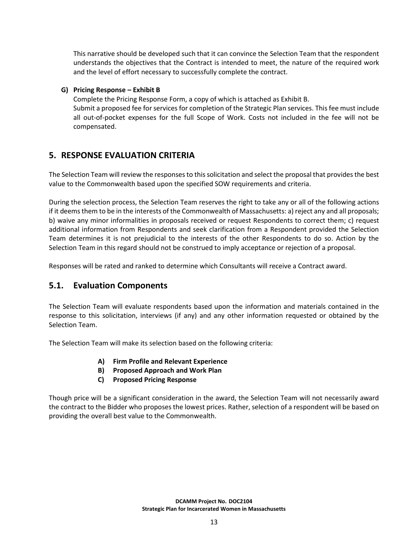This narrative should be developed such that it can convince the Selection Team that the respondent understands the objectives that the Contract is intended to meet, the nature of the required work and the level of effort necessary to successfully complete the contract.

#### **G) Pricing Response – Exhibit B**

Complete the Pricing Response Form, a copy of which is attached as Exhibit B. Submit a proposed fee for services for completion of the Strategic Plan services. This fee must include all out-of-pocket expenses for the full Scope of Work. Costs not included in the fee will not be compensated.

# **5. RESPONSE EVALUATION CRITERIA**

The Selection Team will review the responses to this solicitation and select the proposal that provides the best value to the Commonwealth based upon the specified SOW requirements and criteria.

During the selection process, the Selection Team reserves the right to take any or all of the following actions if it deems them to be in the interests of the Commonwealth of Massachusetts: a) reject any and all proposals; b) waive any minor informalities in proposals received or request Respondents to correct them; c) request additional information from Respondents and seek clarification from a Respondent provided the Selection Team determines it is not prejudicial to the interests of the other Respondents to do so. Action by the Selection Team in this regard should not be construed to imply acceptance or rejection of a proposal.

Responses will be rated and ranked to determine which Consultants will receive a Contract award.

# **5.1. Evaluation Components**

The Selection Team will evaluate respondents based upon the information and materials contained in the response to this solicitation, interviews (if any) and any other information requested or obtained by the Selection Team.

The Selection Team will make its selection based on the following criteria:

- **A) Firm Profile and Relevant Experience**
- **B) Proposed Approach and Work Plan**
- **C) Proposed Pricing Response**

Though price will be a significant consideration in the award, the Selection Team will not necessarily award the contract to the Bidder who proposes the lowest prices. Rather, selection of a respondent will be based on providing the overall best value to the Commonwealth.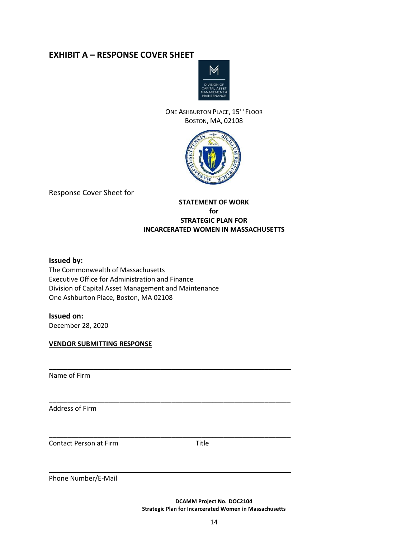# **EXHIBIT A – RESPONSE COVER SHEET**



#### ONE ASHBURTON PLACE, 15<sup>TH</sup> FLOOR BOSTON, MA, 02108



Response Cover Sheet for

## **STATEMENT OF WORK for STRATEGIC PLAN FOR INCARCERATED WOMEN IN MASSACHUSETTS**

#### **Issued by:**

The Commonwealth of Massachusetts Executive Office for Administration and Finance Division of Capital Asset Management and Maintenance One Ashburton Place, Boston, MA 02108

#### **Issued on:**

December 28, 2020

#### **VENDOR SUBMITTING RESPONSE**

Name of Firm

Address of Firm

Contact Person at Firm Title

\_\_\_\_\_\_\_\_\_\_\_\_\_\_\_\_\_\_\_\_\_\_\_\_\_\_\_\_\_\_\_\_\_\_\_\_\_\_\_\_\_\_\_\_\_\_\_\_\_\_\_\_\_\_\_\_\_\_\_\_\_\_\_\_\_

\_\_\_\_\_\_\_\_\_\_\_\_\_\_\_\_\_\_\_\_\_\_\_\_\_\_\_\_\_\_\_\_\_\_\_\_\_\_\_\_\_\_\_\_\_\_\_\_\_\_\_\_\_\_\_\_\_\_\_\_\_\_\_\_\_

\_\_\_\_\_\_\_\_\_\_\_\_\_\_\_\_\_\_\_\_\_\_\_\_\_\_\_\_\_\_\_\_\_\_\_\_\_\_\_\_\_\_\_\_\_\_\_\_\_\_\_\_\_\_\_\_\_\_\_\_\_\_\_\_\_

\_\_\_\_\_\_\_\_\_\_\_\_\_\_\_\_\_\_\_\_\_\_\_\_\_\_\_\_\_\_\_\_\_\_\_\_\_\_\_\_\_\_\_\_\_\_\_\_\_\_\_\_\_\_\_\_\_\_\_\_\_\_\_\_\_

Phone Number/E-Mail